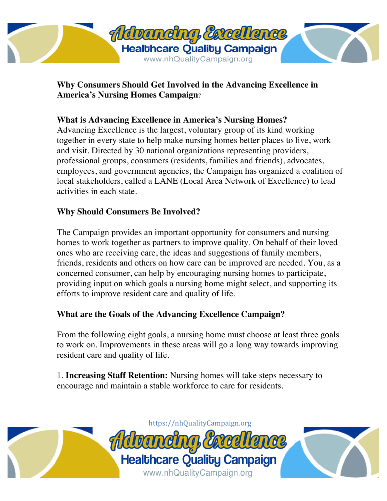

**Why Consumers Should Get Involved in the Advancing Excellence in America's Nursing Homes Campaign**?

## **What is Advancing Excellence in America's Nursing Homes?**

Advancing Excellence is the largest, voluntary group of its kind working together in every state to help make nursing homes better places to live, work and visit. Directed by 30 national organizations representing providers, professional groups, consumers (residents, families and friends), advocates, employees, and government agencies, the Campaign has organized a coalition of local stakeholders, called a LANE (Local Area Network of Excellence) to lead activities in each state.

## **Why Should Consumers Be Involved?**

The Campaign provides an important opportunity for consumers and nursing homes to work together as partners to improve quality. On behalf of their loved ones who are receiving care, the ideas and suggestions of family members, friends, residents and others on how care can be improved are needed. You, as a concerned consumer, can help by encouraging nursing homes to participate, providing input on which goals a nursing home might select, and supporting its efforts to improve resident care and quality of life.

## **What are the Goals of the Advancing Excellence Campaign?**

From the following eight goals, a nursing home must choose at least three goals to work on. Improvements in these areas will go a long way towards improving resident care and quality of life.

1. **Increasing Staff Retention:** Nursing homes will take steps necessary to encourage and maintain a stable workforce to care for residents.

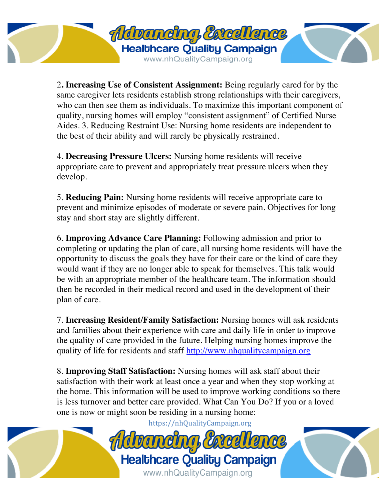

2**. Increasing Use of Consistent Assignment:** Being regularly cared for by the same caregiver lets residents establish strong relationships with their caregivers, who can then see them as individuals. To maximize this important component of quality, nursing homes will employ "consistent assignment" of Certified Nurse Aides. 3. Reducing Restraint Use: Nursing home residents are independent to the best of their ability and will rarely be physically restrained.

4. **Decreasing Pressure Ulcers:** Nursing home residents will receive appropriate care to prevent and appropriately treat pressure ulcers when they develop.

5. **Reducing Pain:** Nursing home residents will receive appropriate care to prevent and minimize episodes of moderate or severe pain. Objectives for long stay and short stay are slightly different.

6. **Improving Advance Care Planning:** Following admission and prior to completing or updating the plan of care, all nursing home residents will have the opportunity to discuss the goals they have for their care or the kind of care they would want if they are no longer able to speak for themselves. This talk would be with an appropriate member of the healthcare team. The information should then be recorded in their medical record and used in the development of their plan of care.

7. **Increasing Resident/Family Satisfaction:** Nursing homes will ask residents and families about their experience with care and daily life in order to improve the quality of care provided in the future. Helping nursing homes improve the quality of life for residents and staff http://www.nhqualitycampaign.org

8. **Improving Staff Satisfaction:** Nursing homes will ask staff about their satisfaction with their work at least once a year and when they stop working at the home. This information will be used to improve working conditions so there is less turnover and better care provided. What Can You Do? If you or a loved one is now or might soon be residing in a nursing home:

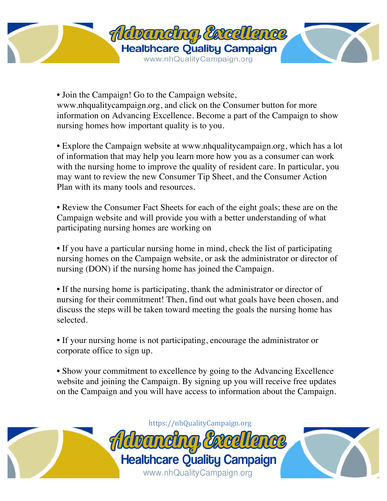

• Join the Campaign! Go to the Campaign website, www.nhqualitycampaign.org, and click on the Consumer button for more information on Advancing Excellence. Become a part of the Campaign to show nursing homes how important quality is to you.

• Explore the Campaign website at www.nhqualitycampaign.org, which has a lot of information that may help you learn more how you as a consumer can work with the nursing home to improve the quality of resident care. In particular, you may want to review the new Consumer Tip Sheet, and the Consumer Action Plan with its many tools and resources.

• Review the Consumer Fact Sheets for each of the eight goals; these are on the Campaign website and will provide you with a better understanding of what participating nursing homes are working on

• If you have a particular nursing home in mind, check the list of participating nursing homes on the Campaign website, or ask the administrator or director of nursing (DON) if the nursing home has joined the Campaign.

• If the nursing home is participating, thank the administrator or director of nursing for their commitment! Then, find out what goals have been chosen, and discuss the steps will be taken toward meeting the goals the nursing home has selected.

• If your nursing home is not participating, encourage the administrator or corporate office to sign up.

• Show your commitment to excellence by going to the Advancing Excellence website and joining the Campaign. By signing up you will receive free updates on the Campaign and you will have access to information about the Campaign.